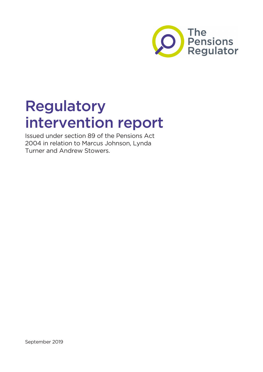

# Regulatory intervention report

Issued under section 89 of the Pensions Act 2004 in relation to Marcus Johnson, Lynda Turner and Andrew Stowers.

September 2019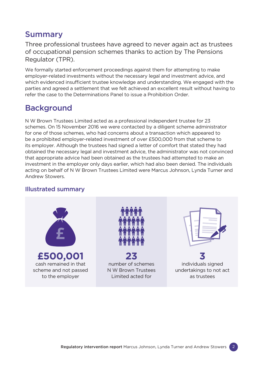## Summary

Three professional trustees have agreed to never again act as trustees of occupational pension schemes thanks to action by The Pensions Regulator (TPR).

We formally started enforcement proceedings against them for attempting to make employer-related investments without the necessary legal and investment advice, and which evidenced insufficient trustee knowledge and understanding. We engaged with the parties and agreed a settlement that we felt achieved an excellent result without having to refer the case to the Determinations Panel to issue a Prohibition Order.

# Background

N W Brown Trustees Limited acted as a professional independent trustee for 23 schemes. On 15 November 2016 we were contacted by a diligent scheme administrator for one of those schemes, who had concerns about a transaction which appeared to be a prohibited employer-related investment of over £500,000 from that scheme to its employer. Although the trustees had signed a letter of comfort that stated they had obtained the necessary legal and investment advice, the administrator was not convinced that appropriate advice had been obtained as the trustees had attempted to make an investment in the employer only days earlier, which had also been denied. The individuals acting on behalf of N W Brown Trustees Limited were Marcus Johnson, Lynda Turner and Andrew Stowers.

#### Illustrated summary

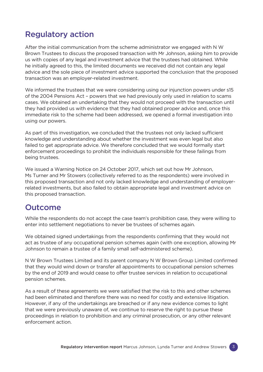## Regulatory action

After the initial communication from the scheme administrator we engaged with N W Brown Trustees to discuss the proposed transaction with Mr Johnson, asking him to provide us with copies of any legal and investment advice that the trustees had obtained. While he initially agreed to this, the limited documents we received did not contain any legal advice and the sole piece of investment advice supported the conclusion that the proposed transaction was an employer-related investment.

We informed the trustees that we were considering using our injunction powers under s15 of the 2004 Pensions Act – powers that we had previously only used in relation to scams cases. We obtained an undertaking that they would not proceed with the transaction until they had provided us with evidence that they had obtained proper advice and, once this immediate risk to the scheme had been addressed, we opened a formal investigation into using our powers.

As part of this investigation, we concluded that the trustees not only lacked sufficient knowledge and understanding about whether the investment was even legal but also failed to get appropriate advice. We therefore concluded that we would formally start enforcement proceedings to prohibit the individuals responsible for these failings from being trustees.

We issued a Warning Notice on 24 October 2017, which set out how Mr Johnson, Ms Turner and Mr Stowers (collectively referred to as the respondents) were involved in this proposed transaction and not only lacked knowledge and understanding of employerrelated investments, but also failed to obtain appropriate legal and investment advice on this proposed transaction.

## Outcome

While the respondents do not accept the case team's prohibition case, they were willing to enter into settlement negotiations to never be trustees of schemes again.

We obtained signed undertakings from the respondents confirming that they would not act as trustee of any occupational pension schemes again (with one exception, allowing Mr Johnson to remain a trustee of a family small self-administered scheme).

N W Brown Trustees Limited and its parent company N W Brown Group Limited confirmed that they would wind down or transfer all appointments to occupational pension schemes by the end of 2019 and would cease to offer trustee services in relation to occupational pension schemes.

As a result of these agreements we were satisfied that the risk to this and other schemes had been eliminated and therefore there was no need for costly and extensive litigation. However, if any of the undertakings are breached or if any new evidence comes to light that we were previously unaware of, we continue to reserve the right to pursue these proceedings in relation to prohibition and any criminal prosecution, or any other relevant enforcement action.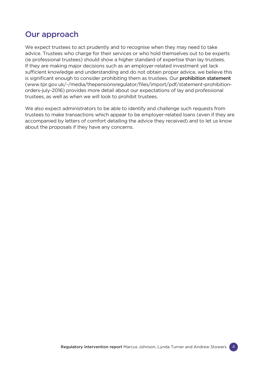## Our approach

We expect trustees to act prudently and to recognise when they may need to take advice. Trustees who charge for their services or who hold themselves out to be experts (ie professional trustees) should show a higher standard of expertise than lay trustees. If they are making major decisions such as an employer-related investment yet lack sufficient knowledge and understanding and do not obtain proper advice, we believe this is significant enough to consider prohibiting them as trustees. Our **prohibition statement** ([www.tpr.gov.uk/-/media/thepensionsregulator/files/import/pdf/statement-prohibition](http://www.tpr.gov.uk/-/media/thepensionsregulator/files/import/pdf/statement-prohibition-orders-july-2016)[orders-july-2016](http://www.tpr.gov.uk/-/media/thepensionsregulator/files/import/pdf/statement-prohibition-orders-july-2016)) provides more detail about our expectations of lay and professional trustees, as well as when we will look to prohibit trustees.

We also expect administrators to be able to identify and challenge such requests from trustees to make transactions which appear to be employer-related loans (even if they are accompanied by letters of comfort detailing the advice they received) and to let us know about the proposals if they have any concerns.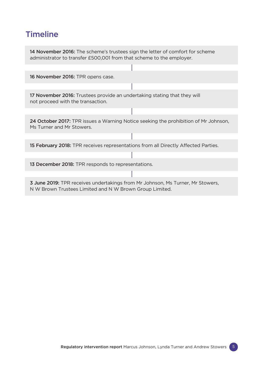# **Timeline**

14 November 2016: The scheme's trustees sign the letter of comfort for scheme administrator to transfer £500,001 from that scheme to the employer.

16 November 2016: TPR opens case.

17 November 2016: Trustees provide an undertaking stating that they will not proceed with the transaction.

24 October 2017: TPR issues a Warning Notice seeking the prohibition of Mr Johnson, Ms Turner and Mr Stowers.

15 February 2018: TPR receives representations from all Directly Affected Parties.

13 December 2018: TPR responds to representations.

3 June 2019: TPR receives undertakings from Mr Johnson, Ms Turner, Mr Stowers, N W Brown Trustees Limited and N W Brown Group Limited.